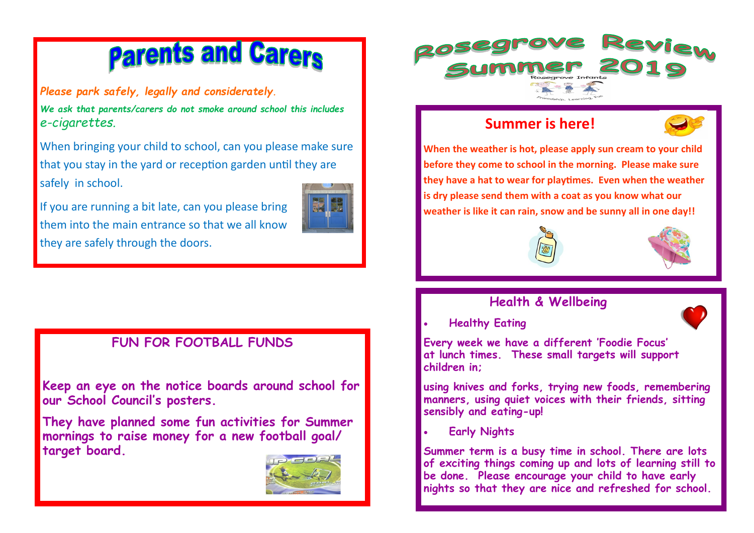# **Parents and Carers**

*Please park safely, legally and considerately.* 

*We ask that parents/carers do not smoke around school this includes e-cigarettes.* 

When bringing your child to school, can you please make sure that you stay in the yard or reception garden until they are safely in school.

If you are running a bit late, can you please bring them into the main entrance so that we all know they are safely through the doors.



# **FUN FOR FOOTBALL FUNDS**

**Keep an eye on the notice boards around school for our School Council's posters.**

**They have planned some fun activities for Summer mornings to raise money for a new football goal/ target board.**





# **Summer is here!**



**When the weather is hot, please apply sun cream to your child before they come to school in the morning. Please make sure they have a hat to wear for playtimes. Even when the weather is dry please send them with a coat as you know what our weather is like it can rain, snow and be sunny all in one day!!**





## **Health & Wellbeing**

• **Healthy Eating** 

**Every week we have a different 'Foodie Focus' at lunch times. These small targets will support children in;**

**using knives and forks, trying new foods, remembering manners, using quiet voices with their friends, sitting sensibly and eating-up!**

• **Early Nights**

**Summer term is a busy time in school. There are lots of exciting things coming up and lots of learning still to be done. Please encourage your child to have early nights so that they are nice and refreshed for school.**